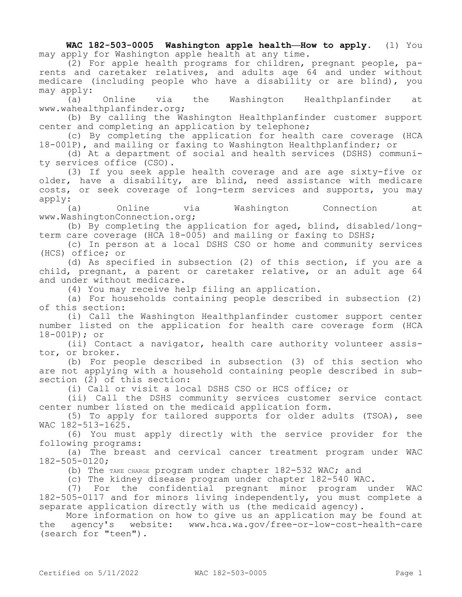**WAC 182-503-0005 Washington apple health—How to apply.** (1) You may apply for Washington apple health at any time.

(2) For apple health programs for children, pregnant people, parents and caretaker relatives, and adults age 64 and under without medicare (including people who have a disability or are blind), you may apply:

(a) Online via the Washington Healthplanfinder at www.wahealthplanfinder.org;

(b) By calling the Washington Healthplanfinder customer support center and completing an application by telephone;

(c) By completing the application for health care coverage (HCA 18-001P), and mailing or faxing to Washington Healthplanfinder; or

(d) At a department of social and health services (DSHS) community services office (CSO).

(3) If you seek apple health coverage and are age sixty-five or older, have a disability, are blind, need assistance with medicare costs, or seek coverage of long-term services and supports, you may apply:

(a) Online via Washington Connection at www.WashingtonConnection.org;

(b) By completing the application for aged, blind, disabled/longterm care coverage (HCA 18-005) and mailing or faxing to DSHS;

(c) In person at a local DSHS CSO or home and community services (HCS) office; or

(d) As specified in subsection (2) of this section, if you are a child, pregnant, a parent or caretaker relative, or an adult age 64 and under without medicare.

(4) You may receive help filing an application.

(a) For households containing people described in subsection (2) of this section:

(i) Call the Washington Healthplanfinder customer support center number listed on the application for health care coverage form (HCA 18-001P); or

(ii) Contact a navigator, health care authority volunteer assistor, or broker.

(b) For people described in subsection (3) of this section who are not applying with a household containing people described in subsection (2) of this section:

(i) Call or visit a local DSHS CSO or HCS office; or

(ii) Call the DSHS community services customer service contact center number listed on the medicaid application form.

(5) To apply for tailored supports for older adults (TSOA), see WAC 182-513-1625.

(6) You must apply directly with the service provider for the following programs:

(a) The breast and cervical cancer treatment program under WAC 182-505-0120;

(b) The TAKE CHARGE program under chapter 182-532 WAC; and

(c) The kidney disease program under chapter 182-540 WAC.

(7) For the confidential pregnant minor program under WAC 182-505-0117 and for minors living independently, you must complete a separate application directly with us (the medicaid agency).

More information on how to give us an application may be found at the agency's website: www.hca.wa.gov/free-or-low-cost-health-care (search for "teen").